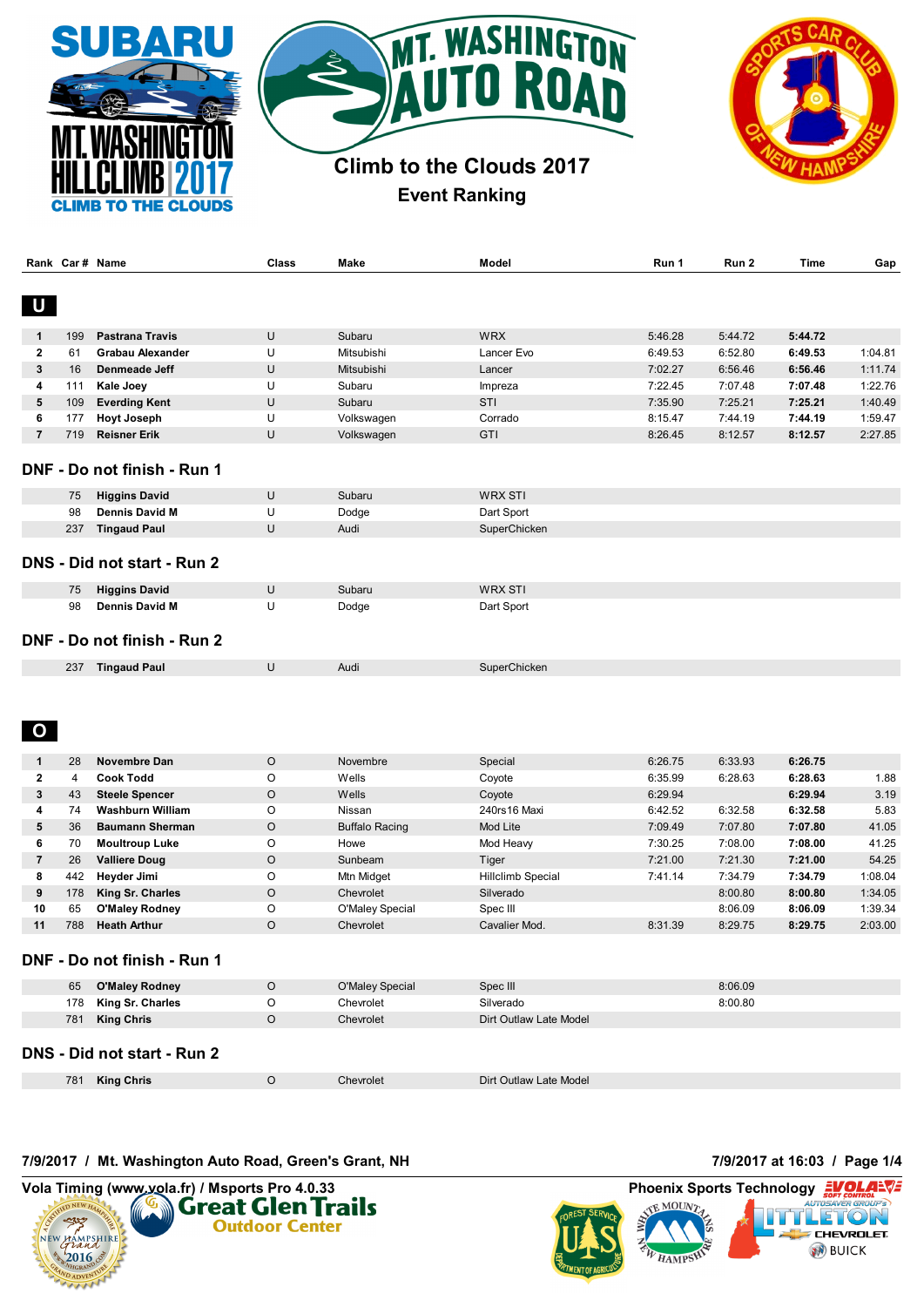| <b>MT. WASHINGTON</b><br><b>SUBARU</b><br><b>Climb to the Clouds 2017</b><br><b>Event Ranking</b><br><b>CLIMB TO THE CLOUDS</b> |
|---------------------------------------------------------------------------------------------------------------------------------|
|---------------------------------------------------------------------------------------------------------------------------------|

|                         |                | Rank Car# Name              | Class   | Make                  | Model                  | Run 1   | Run 2   | <b>Time</b> | Gap     |
|-------------------------|----------------|-----------------------------|---------|-----------------------|------------------------|---------|---------|-------------|---------|
| U                       |                |                             |         |                       |                        |         |         |             |         |
| 1                       | 199            | <b>Pastrana Travis</b>      | U       | Subaru                | <b>WRX</b>             | 5:46.28 | 5:44.72 | 5:44.72     |         |
| $\mathbf{2}$            | 61             | <b>Grabau Alexander</b>     | U       | Mitsubishi            | Lancer Evo             | 6:49.53 | 6:52.80 | 6:49.53     | 1:04.81 |
| 3                       | 16             | Denmeade Jeff               | U       | Mitsubishi            | Lancer                 | 7:02.27 | 6:56.46 | 6:56.46     | 1:11.74 |
| 4                       | 111            | Kale Joey                   | U       | Subaru                | Impreza                | 7:22.45 | 7:07.48 | 7:07.48     | 1:22.76 |
| 5                       | 109            | <b>Everding Kent</b>        | U       | Subaru                | STI                    | 7:35.90 | 7:25.21 | 7:25.21     | 1:40.49 |
| 6                       | 177            | <b>Hoyt Joseph</b>          | U       | Volkswagen            | Corrado                | 8:15.47 | 7:44.19 | 7:44.19     | 1:59.47 |
| $\overline{7}$          | 719            | <b>Reisner Erik</b>         | U       | Volkswagen            | GTI                    | 8:26.45 | 8:12.57 | 8:12.57     | 2:27.85 |
|                         |                |                             |         |                       |                        |         |         |             |         |
|                         |                | DNF - Do not finish - Run 1 |         |                       |                        |         |         |             |         |
|                         | 75             | <b>Higgins David</b>        | U       | Subaru                | <b>WRX STI</b>         |         |         |             |         |
|                         | 98             | <b>Dennis David M</b>       | U       | Dodge                 | Dart Sport             |         |         |             |         |
|                         | 237            | <b>Tingaud Paul</b>         | U       | Audi                  | SuperChicken           |         |         |             |         |
|                         |                |                             |         |                       |                        |         |         |             |         |
|                         |                | DNS - Did not start - Run 2 |         |                       |                        |         |         |             |         |
|                         | 75             | <b>Higgins David</b>        | U       | Subaru                | <b>WRX STI</b>         |         |         |             |         |
|                         | 98             | <b>Dennis David M</b>       | U       | Dodge                 | Dart Sport             |         |         |             |         |
|                         |                |                             |         |                       |                        |         |         |             |         |
|                         |                | DNF - Do not finish - Run 2 |         |                       |                        |         |         |             |         |
|                         | 237            | <b>Tingaud Paul</b>         | U       | Audi                  | SuperChicken           |         |         |             |         |
|                         |                |                             |         |                       |                        |         |         |             |         |
| $\mathbf{o}$            |                |                             |         |                       |                        |         |         |             |         |
| 1                       | 28             | Novembre Dan                | O       | Novembre              | Special                | 6:26.75 | 6:33.93 | 6:26.75     |         |
| $\mathbf{2}$            | $\overline{4}$ | <b>Cook Todd</b>            | O       | Wells                 | Coyote                 | 6:35.99 | 6:28.63 | 6:28.63     | 1.88    |
| 3                       | 43             | <b>Steele Spencer</b>       | O       | Wells                 | Coyote                 | 6:29.94 |         | 6:29.94     | 3.19    |
| 4                       | 74             | <b>Washburn William</b>     | O       | Nissan                | 240rs16 Maxi           | 6:42.52 | 6:32.58 | 6:32.58     | 5.83    |
| 5                       | 36             | <b>Baumann Sherman</b>      | O       | <b>Buffalo Racing</b> | Mod Lite               | 7:09.49 | 7:07.80 | 7:07.80     | 41.05   |
| 6                       | 70             | <b>Moultroup Luke</b>       | O       | Howe                  | Mod Heavy              | 7:30.25 | 7:08.00 | 7:08.00     | 41.25   |
| $\overline{\mathbf{r}}$ | 26             | <b>Valliere Doug</b>        | O       | Sunbeam               | Tiger                  | 7:21.00 | 7:21.30 | 7:21.00     | 54.25   |
| 8                       | 442            | Heyder Jimi                 | O       | Mtn Midget            | Hillclimb Special      | 7:41.14 | 7:34.79 | 7:34.79     | 1:08.04 |
| 9                       | 178            | King Sr. Charles            | $\circ$ | Chevrolet             | Silverado              |         | 8:00.80 | 8:00.80     | 1:34.05 |
| 10                      | 65             | <b>O'Maley Rodney</b>       | O       | O'Maley Special       | Spec III               |         | 8:06.09 | 8:06.09     | 1:39.34 |
| 11                      | 788            | <b>Heath Arthur</b>         | O       | Chevrolet             | Cavalier Mod.          | 8:31.39 | 8:29.75 | 8:29.75     | 2:03.00 |
|                         |                | DNF - Do not finish - Run 1 |         |                       |                        |         |         |             |         |
|                         |                |                             |         |                       |                        |         |         |             |         |
|                         | 65             | <b>O'Maley Rodney</b>       | O       | O'Maley Special       | Spec III               |         | 8:06.09 |             |         |
|                         | 178            | King Sr. Charles            | O       | Chevrolet             | Silverado              |         | 8:00.80 |             |         |
|                         | 781            | <b>King Chris</b>           | O       | Chevrolet             | Dirt Outlaw Late Model |         |         |             |         |

#### **DNS - Did not start - Run 2**

**King Chris** C Chevrolet Dirt Outlaw Late Model

**7/9/2017 / Mt. Washington Auto Road, Green's Grant, NH 7/9/2017 at 16:03 / Page 1/4**



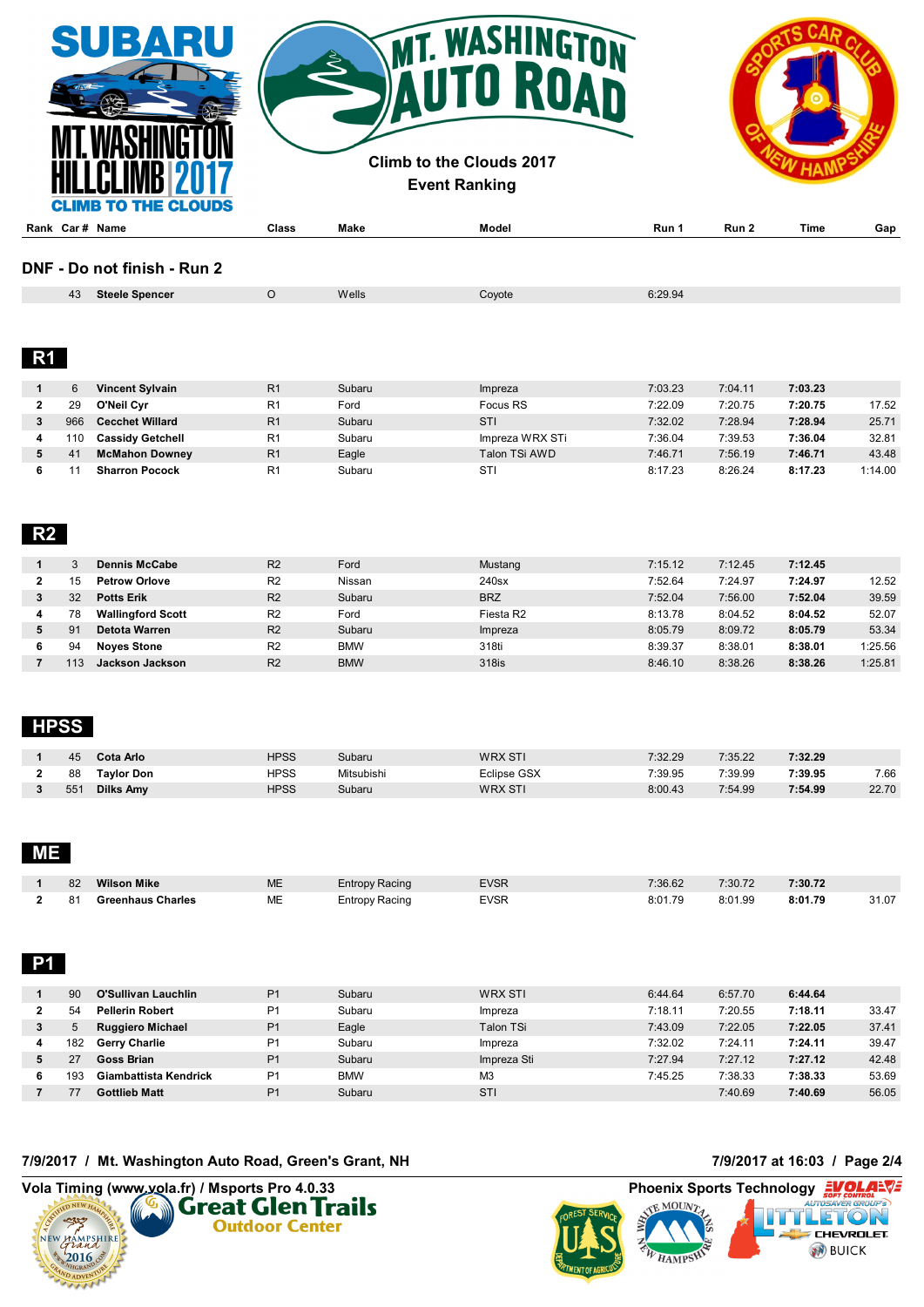| <b>SUBARU</b><br><b>CLIMB TO THE CLOUDS</b> |       |      | TT. WASHINGTON<br><b>Climb to the Clouds 2017</b><br><b>Event Ranking</b> |       |       |      |     |
|---------------------------------------------|-------|------|---------------------------------------------------------------------------|-------|-------|------|-----|
| Rank Car# Name                              | Class | Make | Model                                                                     | Run 1 | Run 2 | Time | Gap |

#### **DNF - Do not finish - Run 2**

|              | 43  | <b>Steele Spencer</b>   | $\circ$        | Wells  | Coyote          | 6:29.94 |         |         |         |
|--------------|-----|-------------------------|----------------|--------|-----------------|---------|---------|---------|---------|
|              |     |                         |                |        |                 |         |         |         |         |
|              |     |                         |                |        |                 |         |         |         |         |
|              |     |                         |                |        |                 |         |         |         |         |
| R1           |     |                         |                |        |                 |         |         |         |         |
|              |     |                         |                |        |                 |         |         |         |         |
|              | 6   | <b>Vincent Sylvain</b>  | R <sub>1</sub> | Subaru | Impreza         | 7:03.23 | 7:04.11 | 7:03.23 |         |
| $\mathbf{2}$ | 29  | O'Neil Cyr              | R <sub>1</sub> | Ford   | Focus RS        | 7:22.09 | 7:20.75 | 7:20.75 | 17.52   |
| 3            | 966 | <b>Cecchet Willard</b>  | R <sub>1</sub> | Subaru | STI             | 7:32.02 | 7:28.94 | 7:28.94 | 25.71   |
| 4            | 110 | <b>Cassidy Getchell</b> | R <sub>1</sub> | Subaru | Impreza WRX STi | 7:36.04 | 7:39.53 | 7:36.04 | 32.81   |
| 5            | 41  | <b>McMahon Downey</b>   | R <sub>1</sub> | Eagle  | Talon TSi AWD   | 7:46.71 | 7:56.19 | 7:46.71 | 43.48   |
| 6            | 11  | <b>Sharron Pocock</b>   | R <sub>1</sub> | Subaru | <b>STI</b>      | 8:17.23 | 8:26.24 | 8:17.23 | 1:14.00 |

## **R2**

|    | <b>Dennis McCabe</b>     | R <sub>2</sub> | Ford       | Mustang    | 7:15.12 | 7:12.45 | 7:12.45 |         |
|----|--------------------------|----------------|------------|------------|---------|---------|---------|---------|
| 15 | <b>Petrow Orlove</b>     | R <sub>2</sub> | Nissan     | 240sx      | 7:52.64 | 7:24.97 | 7:24.97 | 12.52   |
| 32 | <b>Potts Erik</b>        | R <sub>2</sub> | Subaru     | <b>BRZ</b> | 7:52.04 | 7:56.00 | 7:52.04 | 39.59   |
| 78 | <b>Wallingford Scott</b> | R <sub>2</sub> | Ford       | Fiesta R2  | 8:13.78 | 8:04.52 | 8:04.52 | 52.07   |
| 91 | Detota Warren            | R <sub>2</sub> | Subaru     | Impreza    | 8:05.79 | 8:09.72 | 8:05.79 | 53.34   |
| 94 | <b>Noves Stone</b>       | R <sub>2</sub> | <b>BMW</b> | 318ti      | 8:39.37 | 8:38.01 | 8:38.01 | 1:25.56 |
| 13 | Jackson Jackson          | R <sub>2</sub> | <b>BMW</b> | 318is      | 8:46.10 | 8:38.26 | 8:38.26 | 1:25.81 |

# **HPSS**

| 45  | Cota Arlo         | <b>HPSS</b> | Subaru     | <b>WRX STI</b> | 7:32.29 | 7:35.22 | 7:32.29 |       |
|-----|-------------------|-------------|------------|----------------|---------|---------|---------|-------|
| 88  | <b>Tavlor Don</b> | <b>HPSS</b> | Mitsubishi | Eclipse GSX    | 7:39.95 | 7:39.99 | 7:39.95 | 7.66  |
| 551 | <b>Dilks Amy</b>  | <b>HPSS</b> | Subaru     | <b>WRX STI</b> | 8:00.43 | 7:54.99 | 7:54.99 | 22.70 |

#### **ME**

| 82 | <b>Wilson Mike</b>       | ME | Entropy Racing | <b>EVSR</b> | 7:36.62 | 7:30.72 | 7:30.72 |       |
|----|--------------------------|----|----------------|-------------|---------|---------|---------|-------|
| 81 | <b>Greenhaus Charles</b> | ME | Entropy Racing | EVSR        | 8:01.79 | 8:01.99 | 8:01.79 | 31.07 |

#### **P1**

|   | 90  | O'Sullivan Lauchlin     | P <sub>1</sub> | Subaru     | <b>WRX STI</b> | 6:44.64 | 6:57.70 | 6:44.64 |       |
|---|-----|-------------------------|----------------|------------|----------------|---------|---------|---------|-------|
|   | 54  | <b>Pellerin Robert</b>  | P <sub>1</sub> | Subaru     | Impreza        | 7:18.11 | 7:20.55 | 7:18.11 | 33.47 |
|   | b   | <b>Ruggiero Michael</b> | P <sub>1</sub> | Eagle      | Talon TSi      | 7:43.09 | 7:22.05 | 7:22.05 | 37.41 |
|   | 182 | <b>Gerry Charlie</b>    | P <sub>1</sub> | Subaru     | Impreza        | 7:32.02 | 7:24.11 | 7:24.11 | 39.47 |
|   |     | Goss Brian              | P <sub>1</sub> | Subaru     | Impreza Sti    | 7:27.94 | 7:27.12 | 7:27.12 | 42.48 |
| 6 | 193 | Giambattista Kendrick   | P <sub>1</sub> | <b>BMW</b> | M <sub>3</sub> | 7:45.25 | 7:38.33 | 7:38.33 | 53.69 |
|   |     | <b>Gottlieb Matt</b>    | P <sub>1</sub> | Subaru     | <b>ST</b>      |         | 7:40.69 | 7:40.69 | 56.05 |

**7/9/2017 / Mt. Washington Auto Road, Green's Grant, NH 7/9/2017 at 16:03 / Page 2/4**



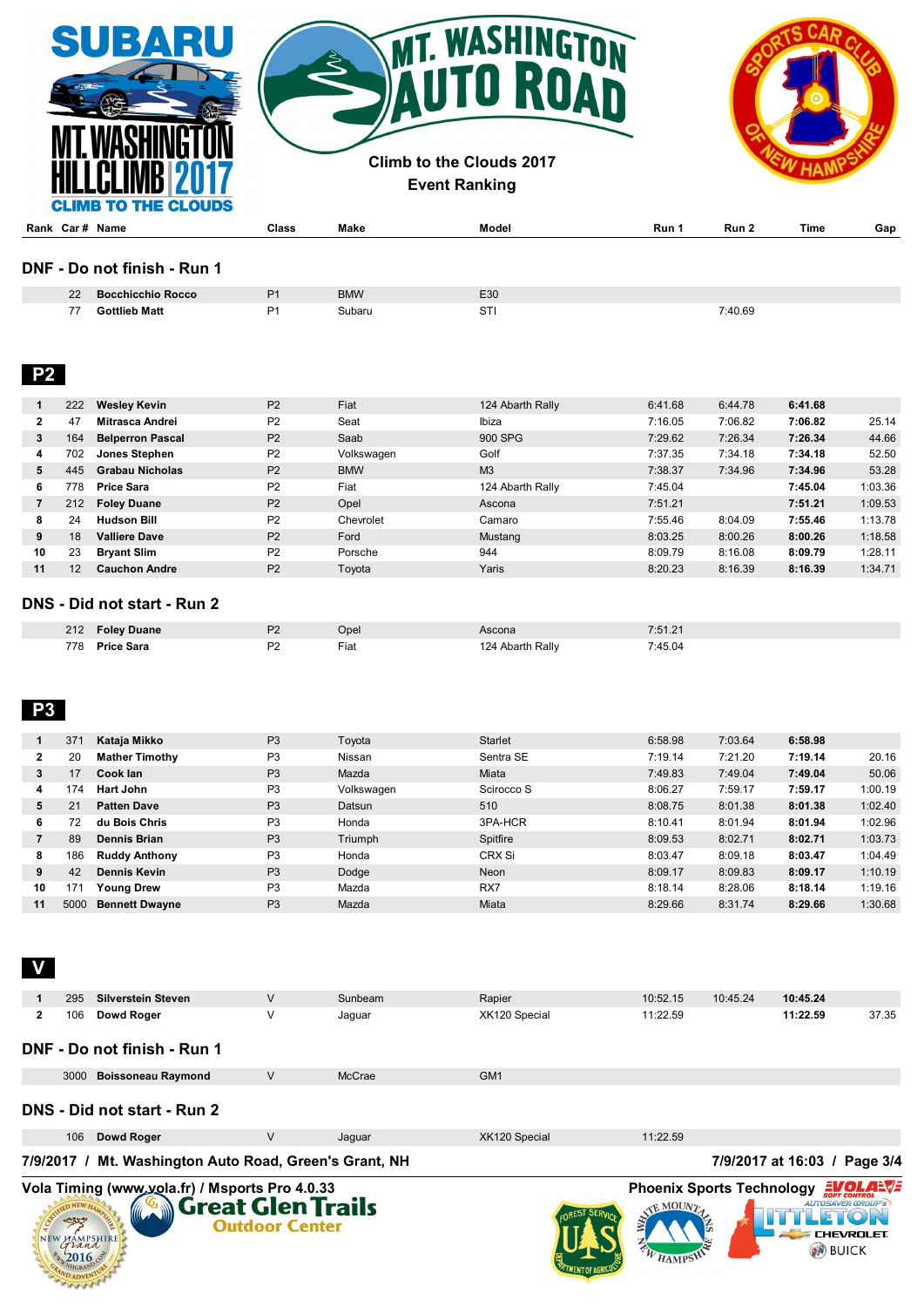| SUBARU                                       |       |      | <b>TT. WASHINGTON</b><br><b>Climb to the Clouds 2017</b><br><b>Event Ranking</b> |       |       |             |     |
|----------------------------------------------|-------|------|----------------------------------------------------------------------------------|-------|-------|-------------|-----|
| <b>CLIMB TO THE CLOUDS</b><br>Rank Car# Name | Class | Make | Model                                                                            | Run 1 | Run 2 | <b>Time</b> | Gap |

### **DNF - Do not finish - Run 1**

| 22 | <b>Bocchicchio Rocco</b> | D <sub>1</sub> | <b>BMW</b> | E30      |                   |
|----|--------------------------|----------------|------------|----------|-------------------|
| 77 | <b>Sottlieb Matt</b>     | D <sub>1</sub> | Subaru     | ∼<br>ا ت | $^{\prime}:40.69$ |

 **P2** 

|                | 222 | <b>Wesley Kevin</b>     | P <sub>2</sub> | Fiat       | 124 Abarth Rally | 6:41.68 | 6:44.78 | 6:41.68 |         |
|----------------|-----|-------------------------|----------------|------------|------------------|---------|---------|---------|---------|
| $\mathbf{2}$   | 47  | Mitrasca Andrei         | P <sub>2</sub> | Seat       | Ibiza            | 7:16.05 | 7:06.82 | 7:06.82 | 25.14   |
| 3              | 164 | <b>Belperron Pascal</b> | P <sub>2</sub> | Saab       | 900 SPG          | 7:29.62 | 7:26.34 | 7:26.34 | 44.66   |
| 4              | 702 | Jones Stephen           | P <sub>2</sub> | Volkswagen | Golf             | 7:37.35 | 7:34.18 | 7:34.18 | 52.50   |
| 5              | 445 | <b>Grabau Nicholas</b>  | P <sub>2</sub> | <b>BMW</b> | M <sub>3</sub>   | 7:38.37 | 7:34.96 | 7:34.96 | 53.28   |
| 6              | 778 | <b>Price Sara</b>       | P <sub>2</sub> | Fiat       | 124 Abarth Rally | 7:45.04 |         | 7:45.04 | 1:03.36 |
| $\overline{7}$ | 212 | <b>Foley Duane</b>      | P <sub>2</sub> | Opel       | Ascona           | 7:51.21 |         | 7:51.21 | 1:09.53 |
| 8              | 24  | <b>Hudson Bill</b>      | P <sub>2</sub> | Chevrolet  | Camaro           | 7:55.46 | 8:04.09 | 7:55.46 | 1:13.78 |
| 9              | 18  | <b>Valliere Dave</b>    | P <sub>2</sub> | Ford       | Mustang          | 8:03.25 | 8:00.26 | 8:00.26 | 1:18.58 |
| 10             | 23  | <b>Bryant Slim</b>      | P <sub>2</sub> | Porsche    | 944              | 8:09.79 | 8:16.08 | 8:09.79 | 1:28.11 |
| 11             | 12  | <b>Cauchon Andre</b>    | P <sub>2</sub> | Toyota     | Yaris            | 8:20.23 | 8:16.39 | 8:16.39 | 1:34.71 |
|                |     |                         |                |            |                  |         |         |         |         |

### **DNS - Did not start - Run 2**

| 212 Foley Duane |    | Opel | Ascona           | 7:51.21 |
|-----------------|----|------|------------------|---------|
| 778 Price Sara  | ₽2 | Fiat | 124 Abarth Rally | 7:45.04 |

## **P3**

|              | 371  | Kataja Mikko          | P <sub>3</sub> | Tovota     | <b>Starlet</b> | 6:58.98 | 7:03.64 | 6:58.98 |         |
|--------------|------|-----------------------|----------------|------------|----------------|---------|---------|---------|---------|
| $\mathbf{2}$ | 20   | <b>Mather Timothy</b> | P <sub>3</sub> | Nissan     | Sentra SE      | 7:19.14 | 7:21.20 | 7:19.14 | 20.16   |
| 3            | 17   | Cook lan              | P <sub>3</sub> | Mazda      | Miata          | 7:49.83 | 7:49.04 | 7:49.04 | 50.06   |
| 4            | 174  | Hart John             | P <sub>3</sub> | Volkswagen | Scirocco S     | 8:06.27 | 7:59.17 | 7:59.17 | 1:00.19 |
| 5.           | 21   | <b>Patten Dave</b>    | P <sub>3</sub> | Datsun     | 510            | 8:08.75 | 8:01.38 | 8:01.38 | 1:02.40 |
| 6.           | 72   | du Bois Chris         | P <sub>3</sub> | Honda      | 3PA-HCR        | 8:10.41 | 8:01.94 | 8:01.94 | 1:02.96 |
|              | 89   | Dennis Brian          | P <sub>3</sub> | Triumph    | Spitfire       | 8:09.53 | 8:02.71 | 8:02.71 | 1:03.73 |
| 8            | 186  | <b>Ruddy Anthony</b>  | P <sub>3</sub> | Honda      | CRX Si         | 8:03.47 | 8:09.18 | 8:03.47 | 1:04.49 |
| 9            | 42   | <b>Dennis Kevin</b>   | P <sub>3</sub> | Dodge      | Neon           | 8:09.17 | 8:09.83 | 8:09.17 | 1:10.19 |
| 10           | 171  | Young Drew            | P <sub>3</sub> | Mazda      | RX7            | 8:18.14 | 8:28.06 | 8:18.14 | 1:19.16 |
| 11           | 5000 | <b>Bennett Dwayne</b> | P <sub>3</sub> | Mazda      | Miata          | 8:29.66 | 8:31.74 | 8:29.66 | 1:30.68 |

 **V** 

|                             | 295  | <b>Silverstein Steven</b>                              | V | Sunbeam                      | Rapier          | 10:52.15 | 10:45.24 | 10:45.24 |       |
|-----------------------------|------|--------------------------------------------------------|---|------------------------------|-----------------|----------|----------|----------|-------|
| $\mathbf{2}$                | 106  | Dowd Roger                                             | V | Jaguar                       | XK120 Special   | 11:22.59 |          | 11:22.59 | 37.35 |
|                             |      | DNF - Do not finish - Run 1                            |   |                              |                 |          |          |          |       |
|                             | 3000 | <b>Boissoneau Raymond</b>                              | V | McCrae                       | GM <sub>1</sub> |          |          |          |       |
| DNS - Did not start - Run 2 |      |                                                        |   |                              |                 |          |          |          |       |
|                             | 106  | Dowd Roger                                             | V | Jaquar                       | XK120 Special   | 11:22.59 |          |          |       |
|                             |      | 7/9/2017 / Mt. Washington Auto Road, Green's Grant, NH |   | 7/9/2017 at 16:03 / Page 3/4 |                 |          |          |          |       |



W HAMPSHIP



**VolaSoftControlPdf**